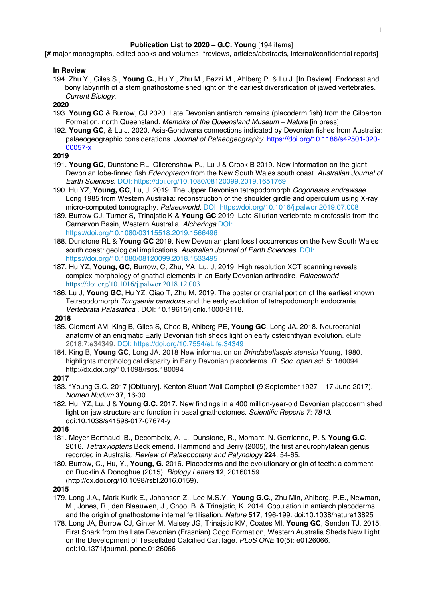### **Publication List to 2020 – G.C. Young** [194 items]

[**#** major monographs, edited books and volumes; **\***reviews, articles/abstracts, internal/confidential reports]

### **In Review**

194. Zhu Y., Giles S., **Young G.**, Hu Y., Zhu M., Bazzi M., Ahlberg P. & Lu J. [In Review]. Endocast and bony labyrinth of a stem gnathostome shed light on the earliest diversification of jawed vertebrates. *Current Biology.*

# **2020**

- 193. **Young GC** & Burrow, CJ 2020. Late Devonian antiarch remains (placoderm fish) from the Gilberton Formation, north Queensland. *Memoirs of the Queensland Museum – Nature* [in press]
- 192. **Young GC**, & Lu J. 2020. Asia-Gondwana connections indicated by Devonian fishes from Australia: palaeogeographic considerations. *Journal of Palaeogeography*. https://doi.org/10.1186/s42501-020- 00057-x

#### **2019**

- 191. **Young GC**, Dunstone RL, Ollerenshaw PJ, Lu J & Crook B 2019. New information on the giant Devonian lobe-finned fish *Edenopteron* from the New South Wales south coast. *Australian Journal of Earth Sciences*. DOI: https://doi.org/10.1080/08120099.2019.1651769
- 190. Hu YZ, **Young, GC**, Lu, J. 2019. The Upper Devonian tetrapodomorph *Gogonasus andrewsae* Long 1985 from Western Australia: reconstruction of the shoulder girdle and operculum using X-ray micro-computed tomography. *Palaeoworld.* DOI: https://doi.org/10.1016/j.palwor.2019.07.008
- 189. Burrow CJ, Turner S, Trinajstic K & **Young GC** 2019. Late Silurian vertebrate microfossils from the Carnarvon Basin, Western Australia. *Alcheringa* DOI: https://doi.org/10.1080/03115518.2019.1566496
- 188. Dunstone RL & **Young GC** 2019. New Devonian plant fossil occurrences on the New South Wales south coast: geological implications. *Australian Journal of Earth Sciences*. DOI: https://doi.org/10.1080/08120099.2018.1533495
- 187. Hu YZ, **Young, GC**, Burrow, C, Zhu, YA, Lu, J, 2019. High resolution XCT scanning reveals complex morphology of gnathal elements in an Early Devonian arthrodire. *Palaeoworld*  https://doi.org/10.1016/j.palwor.2018.12.003
- 186. Lu J, **Young GC**, Hu YZ, Qiao T, Zhu M, 2019. The posterior cranial portion of the earliest known Tetrapodomorph *Tungsenia paradoxa* and the early evolution of tetrapodomorph endocrania. *Vertebrata Palasiatica* . DOI: 10.19615/j.cnki.1000-3118.

### **2018**

- 185. Clement AM, King B, Giles S, Choo B, Ahlberg PE, **Young GC**, Long JA. 2018. Neurocranial anatomy of an enigmatic Early Devonian fish sheds light on early osteichthyan evolution. eLife 2018;7:e34349. DOI: https://doi.org/10.7554/eLife.34349
- 184. King B, **Young GC**, Long JA. 2018 New information on *Brindabellaspis stensioi* Young, 1980, highlights morphological disparity in Early Devonian placoderms. *R. Soc. open sci.* **5**: 180094. http://dx.doi.org/10.1098/rsos.180094

## **2017**

- 183. \*Young G.C. 2017 [Obituary]. Kenton Stuart Wall Campbell (9 September 1927 17 June 2017). *Nomen Nudum* **37**, 16-30.
- 182. Hu, YZ, Lu, J & **Young G.C.** 2017. New findings in a 400 million-year-old Devonian placoderm shed light on jaw structure and function in basal gnathostomes. *Scientific Reports 7: 7813.*  doi:10.1038/s41598-017-07674-y

#### **2016**

- 181. Meyer-Berthaud, B., Decombeix, A.-L., Dunstone, R., Momant, N. Gerrienne, P. & **Young G.C.** 2016. *Tetraxylopteris* Beck emend. Hammond and Berry (2005), the first aneurophytalean genus recorded in Australia. *Review of Palaeobotany and Palynology* **224**, 54-65.
- 180. Burrow, C., Hu, Y., **Young, G.** 2016. Placoderms and the evolutionary origin of teeth: a comment on Rucklin & Donoghue (2015). *Biology Letters* **12**, 20160159 (http://dx.doi.org/10.1098/rsbl.2016.0159).

- 179. Long J.A., Mark-Kurik E., Johanson Z., Lee M.S.Y., **Young G.C**., Zhu Min, Ahlberg, P.E., Newman, M., Jones, R., den Blaauwen, J., Choo, B. & Trinajstic, K. 2014. Copulation in antiarch placoderms and the origin of gnathostome internal fertilisation. *Nature* **517**, 196-199. doi:10.1038/nature13825
- 178. Long JA, Burrow CJ, Ginter M, Maisey JG, Trinajstic KM, Coates MI, **Young GC**, Senden TJ, 2015. First Shark from the Late Devonian (Frasnian) Gogo Formation, Western Australia Sheds New Light on the Development of Tessellated Calcified Cartilage. *PLoS ONE* **10**(5): e0126066. doi:10.1371/journal. pone.0126066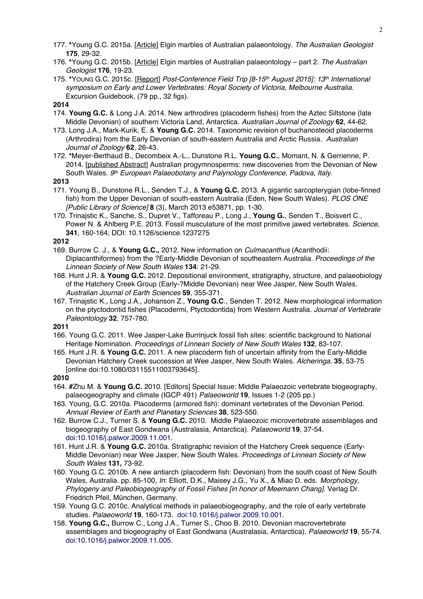- 177. **\***Young G.C. 2015a. [Article] Elgin marbles of Australian palaeontology. *The Australian Geologist* **175**, 29-32.
- 176. **\***Young G.C. 2015b. [Article] Elgin marbles of Australian palaeontology part 2. *The Australian Geologist* **176**, 19-23.
- 175. **\***YOUNG G.C. 2015c. [Report] *Post-Conference Field Trip [8-15th August 2015]: 13th International symposium on Early and Lower Vertebrates: Royal Society of Victoria, Melbourne Australia*. Excursion Guidebook, (79 pp., 32 figs).

# **2014**

- 174. **Young G.C.** & Long J.A. 2014. New arthrodires (placoderm fishes) from the Aztec Siltstone (late Middle Devonian) of southern Victoria Land, Antarctica. *Australian Journal of Zoology* **62**, 44-62.
- 173. Long J.A., Mark-Kurik, E. & **Young G.C.** 2014. Taxonomic revision of buchanosteoid placoderms (Arthrodira) from the Early Devonian of south-eastern Australia and Arctic Russia. *Australian Journal of Zoology* **62**, 26-43.
- 172. **\***Meyer-Berthaud B., Decombeix A.-L., Dunstone R.L. **Young G.C.**, Momant, N. & Gerrienne, P. 2014. [published Abstract] Australian progymnosperms: new discoveries from the Devonian of New South Wales. *9th European Palaeobotany and Palynology Conference, Padova, Italy.*

### **2013**

- 171. Young B., Dunstone R.L., Senden T.J., & **Young G.C.** 2013. A gigantic sarcopterygian (lobe-finned fish) from the Upper Devonian of south-eastern Australia (Eden, New South Wales). *PLOS ONE [Public Library of Science]* **8** (3), March 2013 e53871, pp. 1-30.
- 170. Trinajstic K., Sanche, S., Dupret V., Tafforeau P., Long J., **Young G.**, Senden T., Boisvert C., Power N. & Ahlberg P.E. 2013. Fossil musculature of the most primitive jawed vertebrates. *Science*, **341**, 160-164; DOI: 10.1126/science.1237275

# **2012**

- 169. Burrow C. J., & **Young G.C.,** 2012. New information on *Culmacanthus* (Acanthodii: Diplacanthiformes) from the ?Early-Middle Devonian of southeastern Australia. *Proceedings of the Linnean Society of New South Wales* **134**: 21-29.
- 168. Hunt J.R. & **Young G.C.** 2012. Depositional environment, stratigraphy, structure, and palaeobiology of the Hatchery Creek Group (Early-?Middle Devonian) near Wee Jasper, New South Wales. *Australian Journal of Earth Sciences* **59**, 355-371.
- 167. Trinajstic K., Long J.A., Johanson Z., **Young G.C**., Senden T. 2012. New morphological information on the ptyctodontid fishes (Placodermi, Ptyctodontida) from Western Australia. *Journal of Vertebrate Paleontology* **32**, 757-780.

**2011**

- 166. Young G.C. 2011. Wee Jasper-Lake Burrinjuck fossil fish sites: scientific background to National Heritage Nomination. *Proceedings of Linnean Society of New South Wales* **132**, 83-107.
- 165. Hunt J.R. & **Young G.C.** 2011. A new placoderm fish of uncertain affinity from the Early-Middle Devonian Hatchery Creek succession at Wee Jasper, New South Wales. *Alcheringa.* **35**, 53-75 [online doi:10.1080/03115511003793645].

- 164. **#**Zhu M. & **Young G.C.** 2010. [Editors] Special Issue: Middle Palaeozoic vertebrate biogeography, palaeogeography and climate (IGCP 491) *Palaeoworld* **19**, Issues 1-2 (205 pp.)
- 163. Young, G.C. 2010a. Placoderms (armored fish): dominant vertebrates of the Devonian Period. *Annual Review of Earth and Planetary Sciences* **38**, 523-550.
- 162. Burrow C.J., Turner S. & **Young G.C.** 2010. Middle Palaeozoic microvertebrate assemblages and biogeography of East Gondwana (Australasia, Antarctica). *Palaeoworld* **19**, 37-54. doi:10.1016/j.palwor.2009.11.001.
- 161. Hunt J.R. & **Young G.C.** 2010a. Stratigraphic revision of the Hatchery Creek sequence (Early-Middle Devonian) near Wee Jasper, New South Wales. *Proceedings of Linnean Society of New South Wales* **131,** 73-92.
- 160. Young G.C. 2010b. A new antiarch (placoderm fish: Devonian) from the south coast of New South Wales, Australia. pp. 85-100, *In*: Elliott, D.K., Maisey J.G., Yu X., & Miao D. eds. *Morphology, Phylogeny and Paleobiogeography of Fossil Fishes [in honor of Meemann Chang].* Verlag Dr. Friedrich Pfeil, München, Germany.
- 159. Young G.C. 2010c. Analytical methods in palaeobiogeography, and the role of early vertebrate studies. *Palaeoworld* **19**, 160-173. doi:10.1016/j.palwor.2009.10.001.
- 158. **Young G.C.,** Burrow C., Long J.A., Turner S., Choo B. 2010. Devonian macrovertebrate assemblages and biogeography of East Gondwana (Australasia, Antarctica). *Palaeoworld* **19**, 55-74. doi:10.1016/j.palwor.2009.11.005.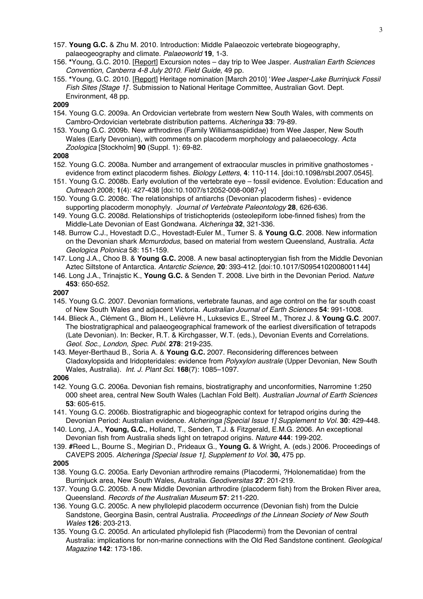- 157. **Young G.C.** & Zhu M. 2010. Introduction: Middle Palaeozoic vertebrate biogeography, palaeogeography and climate. *Palaeoworld* **19**, 1-3.
- 156. **\***Young, G.C. 2010. [Report] Excursion notes day trip to Wee Jasper. *Australian Earth Sciences Convention, Canberra 4-8 July 2010. Field Guide*, 49 pp.
- 155. **\***Young, G.C. 2010. [Report] Heritage nomination [March 2010] '*Wee Jasper-Lake Burrinjuck Fossil Fish Sites [Stage 1]*'. Submission to National Heritage Committee, Australian Govt. Dept. Environment, 48 pp.

# **2009**

- 154. Young G.C. 2009a. An Ordovician vertebrate from western New South Wales, with comments on Cambro-Ordovician vertebrate distribution patterns. *Alcheringa* **33**: 79-89.
- 153. Young G.C. 2009b. New arthrodires (Family Williamsaspididae) from Wee Jasper, New South Wales (Early Devonian), with comments on placoderm morphology and palaeoecology. *Acta Zoologica* [Stockholm] **90** (Suppl. 1): 69-82.

### **2008**

- 152. Young G.C. 2008a. Number and arrangement of extraocular muscles in primitive gnathostomes evidence from extinct placoderm fishes. *Biology Letters*, **4**: 110-114. [doi:10.1098/rsbl.2007.0545].
- 151. Young G.C. 2008b. Early evolution of the vertebrate eye fossil evidence. Evolution: Education and *Outreach* 2008; **1**(4): 427-438 [doi:10.1007/s12052-008-0087-y]
- 150. Young G.C. 2008c. The relationships of antiarchs (Devonian placoderm fishes) evidence supporting placoderm monophyly. *Journal of Vertebrate Paleontology* **28**, 626-636.
- 149. Young G.C. 2008d. Relationships of tristichopterids (osteolepiform lobe-finned fishes) from the Middle-Late Devonian of East Gondwana. *Alcheringa* **32**, 321-336.
- 148. Burrow C.J., Hovestadt D.C., Hovestadt-Euler M., Turner S. & **Young G.C**. 2008. New information on the Devonian shark *Mcmurdodus*, based on material from western Queensland, Australia. *Acta Geologica Polonica* 58: 151-159.
- 147. Long J.A., Choo B. & **Young G.C.** 2008. A new basal actinopterygian fish from the Middle Devonian Aztec Siltstone of Antarctica. *Antarctic Science*, **20**: 393-412. [doi:10.1017/S0954102008001144]
- 146. Long J.A., Trinajstic K., **Young G.C.** & Senden T. 2008. Live birth in the Devonian Period. *Nature* **453**: 650-652.

### **2007**

- 145. Young G.C. 2007. Devonian formations, vertebrate faunas, and age control on the far south coast of New South Wales and adjacent Victoria. *Australian Journal of Earth Sciences* **54**: 991-1008.
- 144. Blieck A., Clément G., Blom H., Lelièvre H., Luksevics E., Streel M., Thorez J. & **Young G.C**. 2007. The biostratigraphical and palaeogeographical framework of the earliest diversification of tetrapods (Late Devonian). In: Becker, R.T. & Kirchgasser, W.T. (eds.), Devonian Events and Correlations. *Geol. Soc., London, Spec. Publ.* **278**: 219-235.
- 143. Meyer-Berthaud B., Soria A. & **Young G.C.** 2007. Reconsidering differences between Cladoxylopsida and Iridopteridales: evidence from *Polyxylon australe* (Upper Devonian, New South Wales, Australia). *Int. J. Plant Sci.* **168**(7): 1085–1097.

## **2006**

- 142. Young G.C. 2006a. Devonian fish remains, biostratigraphy and unconformities, Narromine 1:250 000 sheet area, central New South Wales (Lachlan Fold Belt). *Australian Journal of Earth Sciences* **53**: 605-615.
- 141. Young G.C. 2006b. Biostratigraphic and biogeographic context for tetrapod origins during the Devonian Period: Australian evidence. *Alcheringa [Special Issue 1] Supplement to Vol.* **30**: 429-448.
- 140. Long, J.A., **Young, G.C.**, Holland, T., Senden, T.J. & Fitzgerald, E.M.G. 2006. An exceptional Devonian fish from Australia sheds light on tetrapod origins. *Nature* **444**: 199-202.
- 139. **#**Reed L., Bourne S., Megirian D., Prideaux G., **Young G.** & Wright, A. (eds.) 2006. Proceedings of CAVEPS 2005. *Alcheringa [Special Issue 1], Supplement to Vol.* **30,** 475 pp.

- 138. Young G.C. 2005a. Early Devonian arthrodire remains (Placodermi, ?Holonematidae) from the Burrinjuck area, New South Wales, Australia. *Geodiversitas* **27**: 201-219.
- 137. Young G.C. 2005b. A new Middle Devonian arthrodire (placoderm fish) from the Broken River area, Queensland. *Records of the Australian Museum* **57**: 211-220.
- 136. Young G.C. 2005c. A new phyllolepid placoderm occurrence (Devonian fish) from the Dulcie Sandstone, Georgina Basin, central Australia. *Proceedings of the Linnean Society of New South Wales* **126**: 203-213.
- 135. Young G.C. 2005d. An articulated phyllolepid fish (Placodermi) from the Devonian of central Australia: implications for non-marine connections with the Old Red Sandstone continent. *Geological Magazine* **142**: 173-186.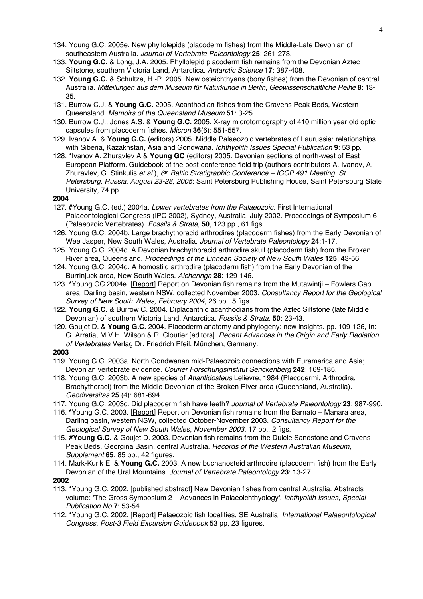- 134. Young G.C. 2005e. New phyllolepids (placoderm fishes) from the Middle-Late Devonian of southeastern Australia. *Journal of Vertebrate Paleontology* **25**: 261-273.
- 133. **Young G.C.** & Long, J.A. 2005. Phyllolepid placoderm fish remains from the Devonian Aztec Siltstone, southern Victoria Land, Antarctica. *Antarctic Science* **17**: 387-408.
- 132. **Young G.C.** & Schultze, H.-P. 2005. New osteichthyans (bony fishes) from the Devonian of central Australia. *Mitteilungen aus dem Museum für Naturkunde in Berlin, Geowissenschaftliche Reihe* **8**: 13- 35.
- 131. Burrow C.J. & **Young G.C.** 2005. Acanthodian fishes from the Cravens Peak Beds, Western Queensland. *Memoirs of the Queensland Museum* **51**: 3-25.
- 130. Burrow C.J., Jones A.S. & **Young G.C.** 2005. X-ray microtomography of 410 million year old optic capsules from placoderm fishes. *Micron* **36**(6): 551-557.
- 129. Ivanov A. & **Young G.C.** (editors) 2005. Middle Palaeozoic vertebrates of Laurussia: relationships with Siberia, Kazakhstan, Asia and Gondwana. *Ichthyolith Issues Special Publication* **9**: 53 pp.
- 128. **\***Ivanov A. Zhuravlev A & **Young GC** (editors) 2005. Devonian sections of north-west of East European Platform. Guidebook of the post-conference field trip (authors-contributors A. Ivanov, A. Zhuravlev, G. Stinkulis *et al*.), *6th Baltic Stratigraphic Conference – IGCP 491 Meeting. St. Petersburg, Russia, August 23-28, 2005*: Saint Petersburg Publishing House, Saint Petersburg State University, 74 pp.

# **2004**

- 127. **#**Young G.C. (ed.) 2004a. *Lower vertebrates from the Palaeozoic*. First International Palaeontological Congress (IPC 2002), Sydney, Australia, July 2002. Proceedings of Symposium 6 (Palaeozoic Vertebrates). *Fossils & Strata,* **50**, 123 pp., 61 figs.
- 126. Young G.C. 2004b. Large brachythoracid arthrodires (placoderm fishes) from the Early Devonian of Wee Jasper, New South Wales, Australia. *Journal of Vertebrate Paleontology* **24**:1-17.
- 125. Young G.C. 2004c. A Devonian brachythoracid arthrodire skull (placoderm fish) from the Broken River area, Queensland. *Proceedings of the Linnean Society of New South Wales* **125**: 43-56.
- 124. Young G.C. 2004d. A homostiid arthrodire (placoderm fish) from the Early Devonian of the Burrinjuck area, New South Wales. *Alcheringa* **28**: 129-146.
- 123. **\***Young GC 2004e. [Report] Report on Devonian fish remains from the Mutawintji Fowlers Gap area, Darling basin, western NSW, collected November 2003. *Consultancy Report for the Geological Survey of New South Wales, February 2004*, 26 pp., 5 figs.
- 122. **Young G.C.** & Burrow C. 2004. Diplacanthid acanthodians from the Aztec Siltstone (late Middle Devonian) of southern Victoria Land, Antarctica. *Fossils & Strata,* **50**: 23-43*.*
- 120. Goujet D. & **Young G.C.** 2004. Placoderm anatomy and phylogeny: new insights. pp. 109-126, In: G. Arratia, M.V.H. Wilson & R. Cloutier [editors]. *Recent Advances in the Origin and Early Radiation of Vertebrates* Verlag Dr. Friedrich Pfeil, München, Germany.

## **2003**

- 119. Young G.C. 2003a. North Gondwanan mid-Palaeozoic connections with Euramerica and Asia; Devonian vertebrate evidence. *Courier Forschungsinstitut Senckenberg* **242**: 169-185.
- 118. Young G.C. 2003b. A new species of *Atlantidosteus* Lelièvre, 1984 (Placodermi, Arthrodira, Brachythoraci) from the Middle Devonian of the Broken River area (Queensland, Australia). *Geodiversitas* **25** (4): 681-694.
- 117. Young G.C. 2003c. Did placoderm fish have teeth? *Journal of Vertebrate Paleontology* **23**: 987-990.
- 116. **\***Young G.C. 2003. [Report] Report on Devonian fish remains from the Barnato Manara area, Darling basin, western NSW, collected October-November 2003. *Consultancy Report for the Geological Survey of New South Wales, November 2003*, 17 pp., 2 figs.
- 115. **#Young G.C.** & Goujet D. 2003. Devonian fish remains from the Dulcie Sandstone and Cravens Peak Beds. Georgina Basin, central Australia. *Records of the Western Australian Museum, Supplement* **65**, 85 pp., 42 figures.
- 114. Mark-Kurik E. & **Young G.C.** 2003. A new buchanosteid arthrodire (placoderm fish) from the Early Devonian of the Ural Mountains. *Journal of Vertebrate Paleontology* **23**: 13-27.

- 113. **\***Young G.C. 2002. [published abstract] New Devonian fishes from central Australia. Abstracts volume: 'The Gross Symposium 2 – Advances in Palaeoichthyology'. *Ichthyolith Issues, Special Publication No* **7**: 53-54.
- 112. **\***Young G.C. 2002. [Report] Palaeozoic fish localities, SE Australia. *International Palaeontological Congress, Post-3 Field Excursion Guidebook* 53 pp, 23 figures.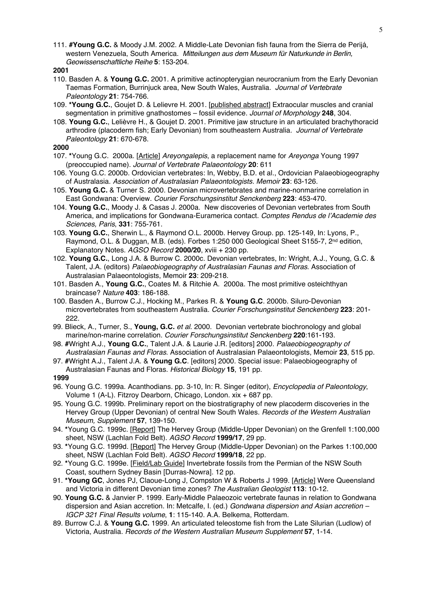111. **#Young G.C.** & Moody J.M. 2002. A Middle-Late Devonian fish fauna from the Sierra de Perijá, western Venezuela, South America. *Mitteilungen aus dem Museum für Naturkunde in Berlin, Geowissenschaftliche Reihe* **5**: 153-204.

## **2001**

- 110. Basden A. & **Young G.C.** 2001. A primitive actinopterygian neurocranium from the Early Devonian Taemas Formation, Burrinjuck area, New South Wales, Australia. *Journal of Vertebrate Paleontology* **21**: 754-766.
- 109. **\*Young G.C.**, Goujet D. & Lelievre H. 2001. [published abstract] Extraocular muscles and cranial segmentation in primitive gnathostomes – fossil evidence. *Journal of Morphology* **248**, 304.
- 108. **Young G.C.**, Lelièvre H., & Goujet D. 2001. Primitive jaw structure in an articulated brachythoracid arthrodire (placoderm fish; Early Devonian) from southeastern Australia. *Journal of Vertebrate Paleontology* **21**: 670-678.

## **2000**

- 107. **\***Young G.C. 2000a. [Article] *Areyongalepis*, a replacement name for *Areyonga* Young 1997 (preoccupied name). *Journal of Vertebrate Palaeontology* **20**: 611
- 106. Young G.C. 2000b. Ordovician vertebrates: In, Webby, B.D. et al., Ordovician Palaeobiogeography of Australasia. *Association of Australasian Palaeontologists. Memoir* **23**: 63-126.
- 105. **Young G.C.** & Turner S. 2000. Devonian microvertebrates and marine-nonmarine correlation in East Gondwana: Overview. *Courier Forschungsinstitut Senckenberg* **223**: 453-470.
- 104. **Young G.C.**, Moody J. & Casas J. 2000a. New discoveries of Devonian vertebrates from South America, and implications for Gondwana-Euramerica contact. *Comptes Rendus de l'Academie des Sciences, Paris*, **331**: 755-761.
- 103. **Young G.C.**, Sherwin L., & Raymond O.L. 2000b. Hervey Group. pp. 125-149, In: Lyons, P., Raymond, O.L. & Duggan, M.B. (eds). Forbes 1:250 000 Geological Sheet S155-7, 2<sup>nd</sup> edition, Explanatory Notes. *AGSO Record* **2000/20**, xviii + 230 pp.
- 102. **Young G.C.**, Long J.A. & Burrow C. 2000c. Devonian vertebrates, In: Wright, A.J., Young, G.C. & Talent, J.A. (editors) *Palaeobiogeography of Australasian Faunas and Floras*. Association of Australasian Palaeontologists, Memoir **23**: 209-218.
- 101. Basden A., **Young G.C.**, Coates M. & Ritchie A. 2000a. The most primitive osteichthyan braincase? *Nature* **403**: 186-188.
- 100. Basden A., Burrow C.J., Hocking M., Parkes R. & **Young G.C**. 2000b. Siluro-Devonian microvertebrates from southeastern Australia. *Courier Forschungsinstitut Senckenberg* **223**: 201- 222.
- 99. Blieck, A., Turner, S., **Young, G.C.** *et al*. 2000. Devonian vertebrate biochronology and global marine/non-marine correlation. *Courier Forschungsinstitut Senckenberg* **220**:161-193.
- 98. **#**Wright A.J., **Young G.C.**, Talent J.A. & Laurie J.R. [editors] 2000. *Palaeobiogeography of Australasian Faunas and Floras*. Association of Australasian Palaeontologists, Memoir **23**, 515 pp.
- 97. **#**Wright A.J., Talent J.A. & **Young G.C**. [editors] 2000. Special issue: Palaeobiogeography of Australasian Faunas and Floras. *Historical Biology* **15**, 191 pp.

- 96. Young G.C. 1999a. Acanthodians. pp. 3-10, In: R. Singer (editor), *Encyclopedia of Paleontology*, Volume 1 (A-L). Fitzroy Dearborn, Chicago, London. xix + 687 pp.
- 95. Young G.C. 1999b. Preliminary report on the biostratigraphy of new placoderm discoveries in the Hervey Group (Upper Devonian) of central New South Wales. *Records of the Western Australian Museum, Supplement* **57**, 139-150.
- 94. **\***Young G.C. 1999c. [Report] The Hervey Group (Middle-Upper Devonian) on the Grenfell 1:100,000 sheet, NSW (Lachlan Fold Belt). *AGSO Record* **1999/17**, 29 pp.
- 93. **\***Young G.C. 1999d. [Report] The Hervey Group (Middle-Upper Devonian) on the Parkes 1:100,000 sheet, NSW (Lachlan Fold Belt). *AGSO Record* **1999/18**, 22 pp.
- 92. **\***Young G.C. 1999e. [Field/Lab Guide] Invertebrate fossils from the Permian of the NSW South Coast, southern Sydney Basin [Durras-Nowra]. 12 pp.
- 91. **\*Young GC**, Jones PJ, Claoue-Long J, Compston W & Roberts J 1999. [Article] Were Queensland and Victoria in different Devonian time zones? *The Australian Geologist* **113**: 10-12.
- 90. **Young G.C.** & Janvier P. 1999. Early-Middle Palaeozoic vertebrate faunas in relation to Gondwana dispersion and Asian accretion. In: Metcalfe, I. (ed.) *Gondwana dispersion and Asian accretion – IGCP 321 Final Results volume*, **1**: 115-140. A.A. Belkema, Rotterdam.
- 89. Burrow C.J. & **Young G.C.** 1999. An articulated teleostome fish from the Late Silurian (Ludlow) of Victoria, Australia. *Records of the Western Australian Museum Supplement* **57**, 1-14.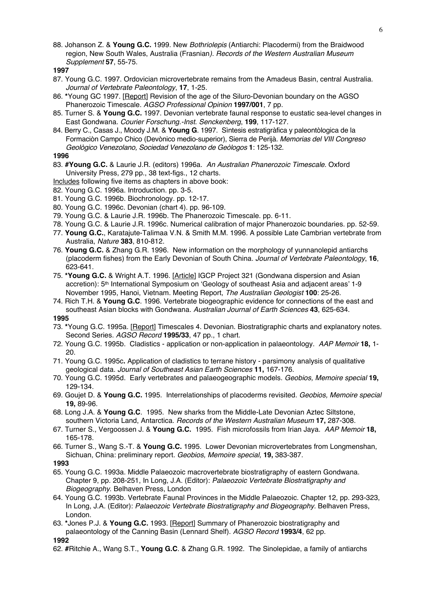88. Johanson Z. & **Young G.C.** 1999. New *Bothriolepis* (Antiarchi: Placodermi) from the Braidwood region, New South Wales, Australia (Frasnian*). Records of the Western Australian Museum Supplement* **57**, 55-75.

**1997**

- 87. Young G.C. 1997. Ordovician microvertebrate remains from the Amadeus Basin, central Australia. *Journal of Vertebrate Paleontology*, **17**, 1-25.
- 86. **\***Young GC 1997. [Report] Revision of the age of the Siluro-Devonian boundary on the AGSO Phanerozoic Timescale. *AGSO Professional Opinion* **1997/001**, 7 pp.
- 85. Turner S. & **Young G.C.** 1997. Devonian vertebrate faunal response to eustatic sea-level changes in East Gondwana. *Courier Forschung.-Inst. Senckenberg*, **199**, 117-127.
- 84. Berry C., Casas J., Moody J.M. & **Young G**. 1997. Sìntesis estratigràfica y paleontòlogica de la Formaciòn Campo Chico (Devònico medio-superior), Sierra de Perijà. *Memorias del VIII Congreso Geològico Venezolano, Sociedad Venezolano de Geòlogos* **1**: 125-132.

### **1996**

- 83. **#Young G.C.** & Laurie J.R. (editors) 1996a. *An Australian Phanerozoic Timescale*. Oxford University Press, 279 pp., 38 text-figs., 12 charts.
- Includes following five items as chapters in above book:
- 82. Young G.C. 1996a. Introduction. pp. 3-5.
- 81. Young G.C. 1996b. Biochronology. pp. 12-17.
- 80. Young G.C. 1996c. Devonian (chart 4). pp. 96-109.
- 79. Young G.C. & Laurie J.R. 1996b. The Phanerozoic Timescale. pp. 6-11.
- 78. Young G.C. & Laurie J.R. 1996c. Numerical calibration of major Phanerozoic boundaries. pp. 52-59.
- 77. **Young G.C.**, Karatajute-Talimaa V.N. & Smith M.M. 1996. A possible Late Cambrian vertebrate from Australia, *Nature* **383**, 810-812.
- 76. **Young G.C.** & Zhang G.R. 1996. New information on the morphology of yunnanolepid antiarchs (placoderm fishes) from the Early Devonian of South China. *Journal of Vertebrate Paleontology*, **16**, 623-641.
- 75. **\*Young G.C.** & Wright A.T. 1996. [Article] IGCP Project 321 (Gondwana dispersion and Asian accretion): 5<sup>th</sup> International Symposium on 'Geology of southeast Asia and adjacent areas' 1-9 November 1995, Hanoi, Vietnam. Meeting Report, *The Australian Geologist* **100**: 25-26.
- 74. Rich T.H. & **Young G.C**. 1996. Vertebrate biogeographic evidence for connections of the east and southeast Asian blocks with Gondwana. *Australian Journal of Earth Sciences* **43**, 625-634.

# **1995**

- 73. **\***Young G.C. 1995a. [Report] Timescales 4. Devonian. Biostratigraphic charts and explanatory notes. Second Series. *AGSO Record* **1995/33**, 47 pp., 1 chart.
- 72. Young G.C. 1995b. Cladistics application or non-application in palaeontology. *AAP Memoir* **18,** 1- 20.
- 71. Young G.C. 1995c**.** Application of cladistics to terrane history parsimony analysis of qualitative geological data. *Journal of Southeast Asian Earth Sciences* **11,** 167-176.
- 70. Young G.C. 1995d. Early vertebrates and palaeogeographic models. *Geobios, Memoire special* **19,** 129-134.
- 69. Goujet D. & **Young G.C.** 1995. Interrelationships of placoderms revisited. *Geobios, Memoire special* **19,** 89-96.
- 68. Long J.A. & **Young G.C**. 1995. New sharks from the Middle-Late Devonian Aztec Siltstone, southern Victoria Land, Antarctica. *Records of the Western Australian Museum* **17,** 287-308.
- 67. Turner S., Vergoossen J. & **Young G.C.** 1995. Fish microfossils from Irian Jaya. *AAP Memoir* **18,** 165-178.
- 66. Turner S., Wang S.-T. & **Young G.C.** 1995. Lower Devonian microvertebrates from Longmenshan, Sichuan, China: preliminary report. *Geobios, Memoire special,* **19,** 383-387.

- 65. Young G.C. 1993a. Middle Palaeozoic macrovertebrate biostratigraphy of eastern Gondwana. Chapter 9, pp. 208-251, In Long, J.A. (Editor): *Palaeozoic Vertebrate Biostratigraphy and Biogeography*. Belhaven Press, London
- 64. Young G.C. 1993b. Vertebrate Faunal Provinces in the Middle Palaeozoic. Chapter 12, pp. 293-323, In Long, J.A. (Editor): *Palaeozoic Vertebrate Biostratigraphy and Biogeography.* Belhaven Press, London.
- 63. **\***Jones P.J. & **Young G.C.** 1993. [Report] Summary of Phanerozoic biostratigraphy and palaeontology of the Canning Basin (Lennard Shelf). *AGSO Record* **1993/4**, 62 pp. **1992**
- 62. **#**Ritchie A., Wang S.T., **Young G.C**. & Zhang G.R. 1992. The Sinolepidae, a family of antiarchs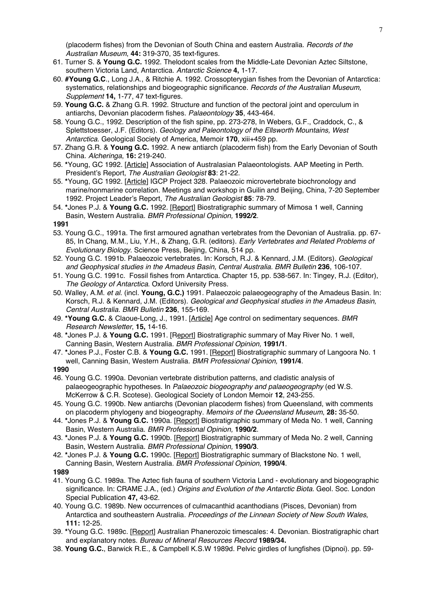(placoderm fishes) from the Devonian of South China and eastern Australia. *Records of the Australian Museum*, **44:** 319-370, 35 text-figures.

- 61. Turner S. & **Young G.C.** 1992. Thelodont scales from the Middle-Late Devonian Aztec Siltstone, southern Victoria Land, Antarctica. *Antarctic Science* **4,** 1-17.
- 60. **#Young G.C**., Long J.A., & Ritchie A. 1992. Crossopterygian fishes from the Devonian of Antarctica: systematics, relationships and biogeographic significance. *Records of the Australian Museum, Supplement* **14,** 1-77, 47 text-figures.
- 59. **Young G.C.** & Zhang G.R. 1992. Structure and function of the pectoral joint and operculum in antiarchs, Devonian placoderm fishes. *Palaeontology* **35**, 443-464.
- 58. Young G.C., 1992. Description of the fish spine, pp. 273-278, In Webers, G.F., Craddock, C., & Splettstoesser, J.F. (Editors). *Geology and Paleontology of the Ellsworth Mountains, West Antarctica*. Geological Society of America, Memoir **170**, xiii+459 pp.
- 57. Zhang G.R. & **Young G.C.** 1992. A new antiarch (placoderm fish) from the Early Devonian of South China. *Alcheringa*, **16:** 219-240.
- 56. **\***Young, GC 1992. [Article] Association of Australasian Palaeontologists. AAP Meeting in Perth. President's Report, *The Australian Geologist* **83**: 21-22.
- 55. **\***Young, GC 1992. [Article] IGCP Project 328. Palaeozoic microvertebrate biochronology and marine/nonmarine correlation. Meetings and workshop in Guilin and Beijing, China, 7-20 September 1992. Project Leader's Report, *The Australian Geologist* **85**: 78-79.
- 54. **\***Jones P.J. & **Young G.C.** 1992. [Report] Biostratigraphic summary of Mimosa 1 well, Canning Basin, Western Australia. *BMR Professional Opinion,* **1992/2**.

**1991**

- 53. Young G.C., 1991a. The first armoured agnathan vertebrates from the Devonian of Australia. pp. 67- 85, In Chang, M.M., Liu, Y.H., & Zhang, G.R. (editors). *Early Vertebrates and Related Problems of Evolutionary Biology*. Science Press, Beijing, China, 514 pp.
- 52. Young G.C. 1991b. Palaeozoic vertebrates. In: Korsch, R.J. & Kennard, J.M. (Editors). *Geological and Geophysical studies in the Amadeus Basin, Central Australia. BMR Bulletin* **236**, 106-107.
- 51. Young G.C. 1991c. Fossil fishes from Antarctica. Chapter 15, pp. 538-567. In: Tingey, R.J. (Editor), *The Geology of Antarctica*. Oxford University Press.
- 50. Walley, A.M. *et al*. (incl. **Young, G.C.)** 1991. Palaeozoic palaeogeography of the Amadeus Basin. In: Korsch, R.J. & Kennard, J.M. (Editors). *Geological and Geophysical studies in the Amadeus Basin, Central Australia. BMR Bulletin* **236**, 155-169.
- 49. **\*Young G.C.** & Claoue-Long, J., 1991. [Article] Age control on sedimentary sequences. *BMR Research Newsletter*, **15,** 14-16.
- 48. **\***Jones P.J. & **Young G.C.** 1991. [Report] Biostratigraphic summary of May River No. 1 well, Canning Basin, Western Australia. *BMR Professional Opinion,* **1991/1**.
- 47. **\***Jones P.J., Foster C.B. & **Young G.C.** 1991. [Report] Biostratigraphic summary of Langoora No. 1 well, Canning Basin, Western Australia. *BMR Professional Opinion,* **1991/4**.

- 46. Young G.C. 1990a. Devonian vertebrate distribution patterns, and cladistic analysis of palaeogeographic hypotheses. In *Palaeozoic biogeography and palaeogeography* (ed W.S. McKerrow & C.R. Scotese). Geological Society of London Memoir **12**, 243-255.
- 45. Young G.C. 1990b. New antiarchs (Devonian placoderm fishes) from Queensland, with comments on placoderm phylogeny and biogeography. *Memoirs of the Queensland Museum*, **28:** 35-50.
- 44. **\***Jones P.J. & **Young G.C.** 1990a. [Report] Biostratigraphic summary of Meda No. 1 well, Canning Basin, Western Australia. *BMR Professional Opinion,* **1990/2**.
- 43. **\***Jones P.J. & **Young G.C.** 1990b. [Report] Biostratigraphic summary of Meda No. 2 well, Canning Basin, Western Australia. *BMR Professional Opinion,* **1990/3**.
- 42. **\***Jones P.J. & **Young G.C.** 1990c. [Report] Biostratigraphic summary of Blackstone No. 1 well, Canning Basin, Western Australia. *BMR Professional Opinion,* **1990/4**.
- **1989**
- 41. Young G.C. 1989a. The Aztec fish fauna of southern Victoria Land evolutionary and biogeographic significance. In: CRAME J.A., (ed.) *Origins and Evolution of the Antarctic Biota*. Geol. Soc. London Special Publication **47,** 43-62.
- 40. Young G.C. 1989b. New occurrences of culmacanthid acanthodians (Pisces, Devonian) from Antarctica and southeastern Australia*. Proceedings of the Linnean Society of New South Wales*, **111:** 12-25.
- 39. **\***Young G.C. 1989c. [Report] Australian Phanerozoic timescales: 4. Devonian. Biostratigraphic chart and explanatory notes. *Bureau of Mineral Resources Record* **1989/34.**
- 38. **Young G.C.**, Barwick R.E., & Campbell K.S.W 1989d. Pelvic girdles of lungfishes (Dipnoi). pp. 59-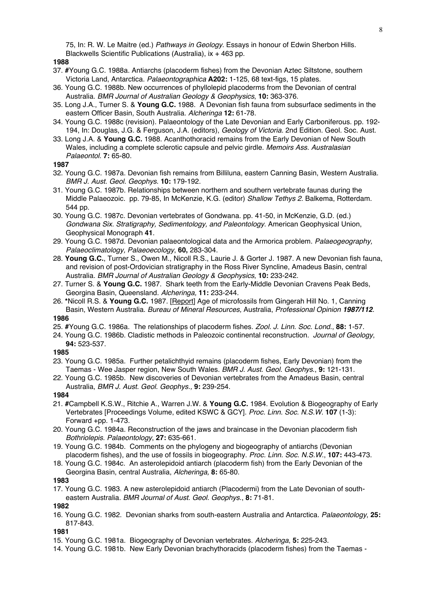75, In: R. W. Le Maitre (ed.) *Pathways in Geology*. Essays in honour of Edwin Sherbon Hills. Blackwells Scientific Publications (Australia), ix + 463 pp.

#### **1988**

- 37. **#**Young G.C. 1988a. Antiarchs (placoderm fishes) from the Devonian Aztec Siltstone, southern Victoria Land, Antarctica. *Palaeontographica* **A202:** 1-125, 68 text-figs, 15 plates.
- 36. Young G.C. 1988b. New occurrences of phyllolepid placoderms from the Devonian of central Australia. *BMR Journal of Australian Geology & Geophysics*, **10:** 363-376.
- 35. Long J.A., Turner S. & **Young G.C.** 1988. A Devonian fish fauna from subsurface sediments in the eastern Officer Basin, South Australia. *Alcheringa* **12:** 61-78.
- 34. Young G.C. 1988c (revision). Palaeontology of the Late Devonian and Early Carboniferous. pp. 192- 194, In: Douglas, J.G. & Ferguson, J.A. (editors), *Geology of Victoria.* 2nd Edition. Geol. Soc. Aust.
- 33. Long J.A. & **Young G.C.** 1988. Acanthothoracid remains from the Early Devonian of New South Wales, including a complete sclerotic capsule and pelvic girdle. *Memoirs Ass. Australasian Palaeontol.* **7:** 65-80.

#### **1987**

- 32. Young G.C. 1987a. Devonian fish remains from Billiluna, eastern Canning Basin, Western Australia. *BMR J. Aust. Geol. Geophys*. **10:** 179-192.
- 31. Young G.C. 1987b. Relationships between northern and southern vertebrate faunas during the Middle Palaeozoic. pp. 79-85, In McKenzie, K.G. (editor) *Shallow Tethys 2*. Balkema, Rotterdam. 544 pp.
- 30. Young G.C. 1987c. Devonian vertebrates of Gondwana. pp. 41-50, in McKenzie, G.D. (ed.) *Gondwana Six. Stratigraphy, Sedimentology, and Paleontology*. American Geophysical Union, Geophysical Monograph **41**.
- 29. Young G.C. 1987d. Devonian palaeontological data and the Armorica problem. *Palaeogeography, Palaeoclimatology, Palaeoecology*, **60,** 283-304.
- 28. **Young G.C.**, Turner S., Owen M., Nicoll R.S., Laurie J. & Gorter J. 1987. A new Devonian fish fauna, and revision of post-Ordovician stratigraphy in the Ross River Syncline, Amadeus Basin, central Australia*. BMR Journal of Australian Geology & Geophysics*, **10:** 233-242.
- 27. Turner S. & **Young G.C.** 1987. Shark teeth from the Early-Middle Devonian Cravens Peak Beds, Georgina Basin, Queensland. *Alcheringa,* **11:** 233-244.
- 26. **\***Nicoll R.S. & **Young G.C.** 1987. [Report] Age of microfossils from Gingerah Hill No. 1, Canning Basin, Western Australia. *Bureau of Mineral Resources,* Australia, *Professional Opinion 1987/112.*

# **1986**

- 25. **#**Young G.C. 1986a. The relationships of placoderm fishes. *Zool. J. Linn. Soc. Lond*., **88:** 1-57.
- 24. Young G.C. 1986b. Cladistic methods in Paleozoic continental reconstruction. *Journal of Geology*, **94:** 523-537.

#### **1985**

- 23. Young G.C. 1985a. Further petalichthyid remains (placoderm fishes, Early Devonian) from the Taemas - Wee Jasper region, New South Wales. *BMR J. Aust. Geol. Geophys*., **9:** 121-131.
- 22. Young G.C. 1985b. New discoveries of Devonian vertebrates from the Amadeus Basin, central Australia, *BMR J. Aust. Geol. Geophys.,* **9:** 239-254.

### **1984**

- 21. **#**Campbell K.S.W., Ritchie A., Warren J.W. & **Young G.C.** 1984. Evolution & Biogeography of Early Vertebrates [Proceedings Volume, edited KSWC & GCY]. *Proc. Linn. Soc. N.S.W*. **107** (1-3): Forward +pp. 1-473.
- 20. Young G.C. 1984a. Reconstruction of the jaws and braincase in the Devonian placoderm fish *Bothriolepis*. *Palaeontology*, **27:** 635-661.
- 19. Young G.C. 1984b. Comments on the phylogeny and biogeography of antiarchs (Devonian placoderm fishes), and the use of fossils in biogeography. *Proc. Linn. Soc. N.S.W*., **107:** 443-473.
- 18. Young G.C. 1984c. An asterolepidoid antiarch (placoderm fish) from the Early Devonian of the Georgina Basin, central Australia, *Alcheringa,* **8:** 65-80.

### **1983**

17. Young G.C. 1983. A new asterolepidoid antiarch (Placodermi) from the Late Devonian of southeastern Australia. *BMR Journal of Aust. Geol. Geophys*., **8:** 71-81.

### **1982**

16. Young G.C. 1982. Devonian sharks from south-eastern Australia and Antarctica. *Palaeontology*, **25:** 817-843.

- 15. Young G.C. 1981a. Biogeography of Devonian vertebrates. *Alcheringa*, **5:** 225-243.
- 14. Young G.C. 1981b. New Early Devonian brachythoracids (placoderm fishes) from the Taemas -